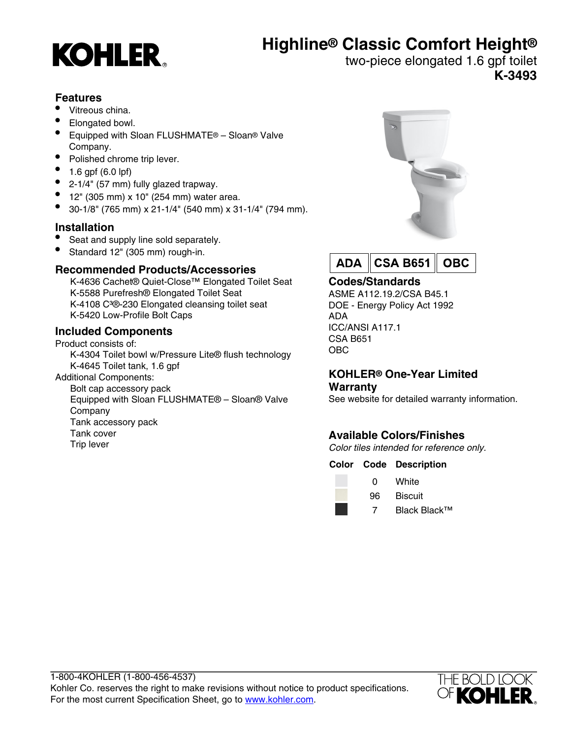# **Highline® Classic Comfort Height®**



two-piece elongated 1.6 gpf toilet **K-3493**

# **Features**

- Vitreous china.
- Elongated bowl.
- Equipped with Sloan FLUSHMATE® Sloan® Valve Company.
- Polished chrome trip lever.
- 1.6 gpf (6.0 lpf)
- 2-1/4" (57 mm) fully glazed trapway.
- 12" (305 mm) x 10" (254 mm) water area.
- 30-1/8" (765 mm) x 21-1/4" (540 mm) x 31-1/4" (794 mm).

# **Installation**

- Seat and supply line sold separately.
- Standard 12" (305 mm) rough-in.

# **Recommended Products/Accessories**

K-4636 Cachet® Quiet-Close™ Elongated Toilet Seat K-5588 Purefresh® Elongated Toilet Seat K-4108 C<sup>3</sup>®-230 Elongated cleansing toilet seat K-5420 Low-Profile Bolt Caps

# **Included Components**

Tank cover Trip lever

Product consists of: K-4304 Toilet bowl w/Pressure Lite® flush technology K-4645 Toilet tank, 1.6 gpf Additional Components: Bolt cap accessory pack Equipped with Sloan FLUSHMATE® – Sloan® Valve Company Tank accessory pack





# **Codes/Standards**

ASME A112.19.2/CSA B45.1 DOE - Energy Policy Act 1992 ADA ICC/ANSI A117.1 CSA B651 OBC

### **KOHLER® One-Year Limited Warranty**

See website for detailed warranty information.

# **Available Colors/Finishes**

Color tiles intended for reference only.

## **Color Code Description**

0 White 96 Biscuit